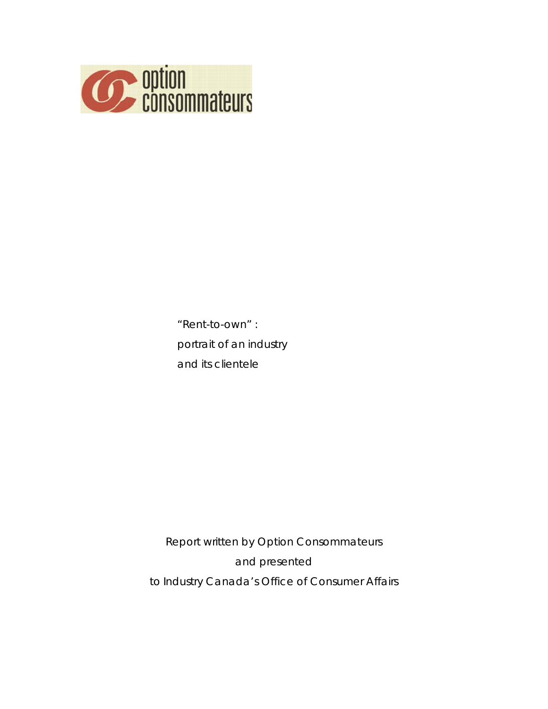

"Rent-to-own" : portrait of an industry and its clientele

Report written by *Option Consommateurs* and presented to Industry Canada's Office of Consumer Affairs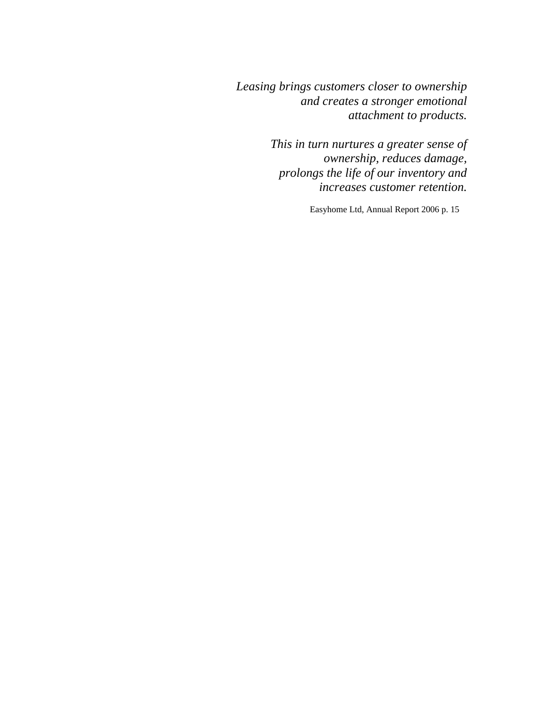*Leasing brings customers closer to ownership and creates a stronger emotional attachment to products.* 

> *This in turn nurtures a greater sense of ownership, reduces damage, prolongs the life of our inventory and increases customer retention.*

> > Easyhome Ltd, Annual Report 2006 p. 15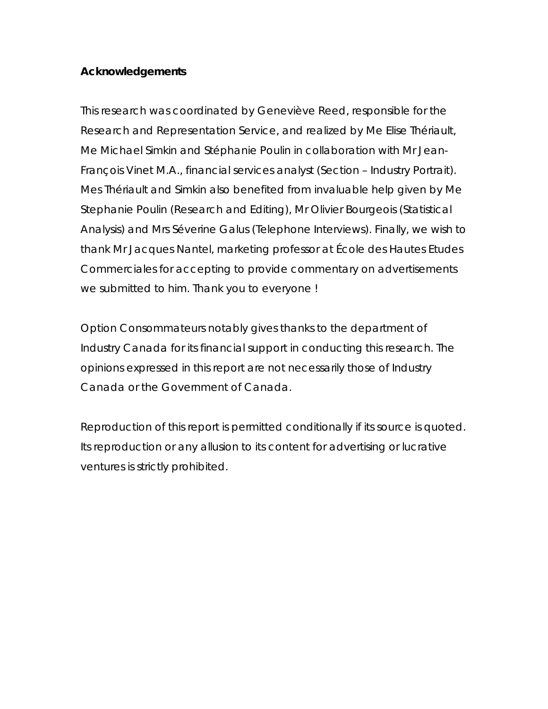# **Acknowledgements**

This research was coordinated by Geneviève Reed, responsible for the Research and Representation Service, and realized by Me Elise Thériault, Me Michael Simkin and Stéphanie Poulin in collaboration with Mr Jean-François Vinet M.A., financial services analyst (Section – Industry Portrait). Mes Thériault and Simkin also benefited from invaluable help given by Me Stephanie Poulin (Research and Editing), Mr Olivier Bourgeois (Statistical Analysis) and Mrs Séverine Galus (Telephone Interviews). Finally, we wish to thank Mr Jacques Nantel, marketing professor at *École des Hautes Etudes Commerciales* for accepting to provide commentary on advertisements we submitted to him. Thank you to everyone !

Option Consommateurs notably gives thanks to the department of Industry Canada for its financial support in conducting this research. The opinions expressed in this report are not necessarily those of Industry Canada or the Government of Canada.

Reproduction of this report is permitted conditionally if its source is quoted. Its reproduction or any allusion to its content for advertising or lucrative ventures is strictly prohibited.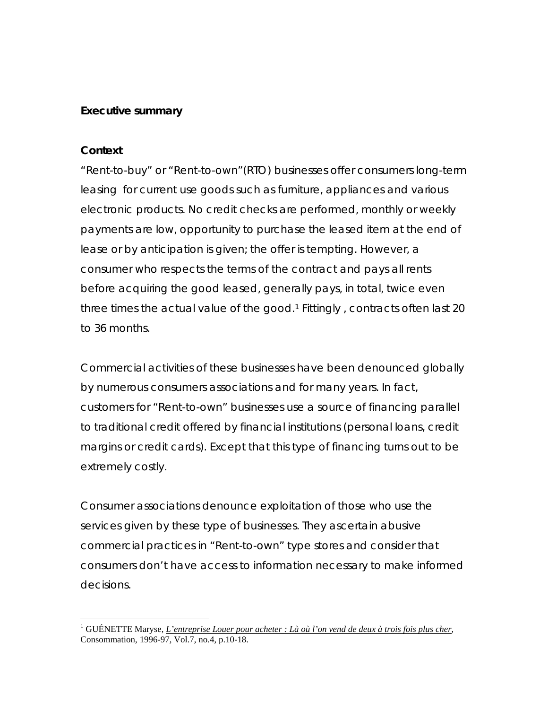## **Executive summary**

### **Context**

 $\overline{a}$ 

"Rent-to-buy" or "Rent-to-own"(RTO) businesses offer consumers long-term leasing for current use goods such as furniture, appliances and various electronic products. No credit checks are performed, monthly or weekly payments are low, opportunity to purchase the leased item at the end of lease or by anticipation is given; the offer is tempting. However, a consumer who respects the terms of the contract and pays all rents before acquiring the good leased, generally pays, in total, twice even three times the actual value of the good.<sup>1</sup> Fittingly, contracts often last 20 to 36 months.

Commercial activities of these businesses have been denounced globally by numerous consumers associations and for many years. In fact, customers for "Rent-to-own" businesses use a source of financing parallel to traditional credit offered by financial institutions (personal loans, credit margins or credit cards). Except that this type of financing turns out to be extremely costly.

Consumer associations denounce exploitation of those who use the services given by these type of businesses. They ascertain abusive commercial practices in "Rent-to-own" type stores and consider that consumers don't have access to information necessary to make informed decisions.

<sup>&</sup>lt;sup>1</sup> GUÉNETTE Maryse, *L'entreprise Louer pour acheter : Là où l'on vend de deux à trois fois plus cher,* Consommation, 1996-97, Vol.7, no.4, p.10-18.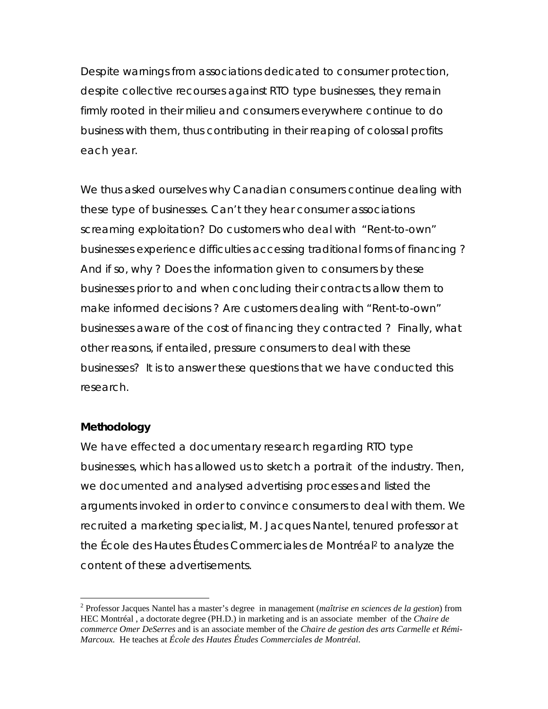Despite warnings from associations dedicated to consumer protection, despite collective recourses against RTO type businesses, they remain firmly rooted in their milieu and consumers everywhere continue to do business with them, thus contributing in their reaping of colossal profits each year.

We thus asked ourselves why Canadian consumers continue dealing with these type of businesses. Can't they hear consumer associations screaming exploitation? Do customers who deal with "Rent-to-own" businesses experience difficulties accessing traditional forms of financing ? And if so, why ? Does the information given to consumers by these businesses prior to and when concluding their contracts allow them to make informed decisions ? Are customers dealing with "Rent-to-own" businesses aware of the cost of financing they contracted ? Finally, what other reasons, if entailed, pressure consumers to deal with these businesses? It is to answer these questions that we have conducted this research.

### **Methodology**

 $\overline{a}$ 

We have effected a documentary research regarding RTO type businesses, which has allowed us to sketch a portrait of the industry. Then, we documented and analysed advertising processes and listed the arguments invoked in order to convince consumers to deal with them. We recruited a marketing specialist, M. Jacques Nantel, tenured professor at the *École des Hautes Études Commerciales de Montréal*2 to analyze the content of these advertisements.

<sup>2</sup> Professor Jacques Nantel has a master's degree in management (*maîtrise en sciences de la gestion*) from HEC Montréal , a doctorate degree (PH.D.) in marketing and is an associate member of the *Chaire de commerce Omer DeSerres* and is an associate member of the *Chaire de gestion des arts Carmelle et Rémi-Marcoux.* He teaches at *École des Hautes Études Commerciales de Montréal*.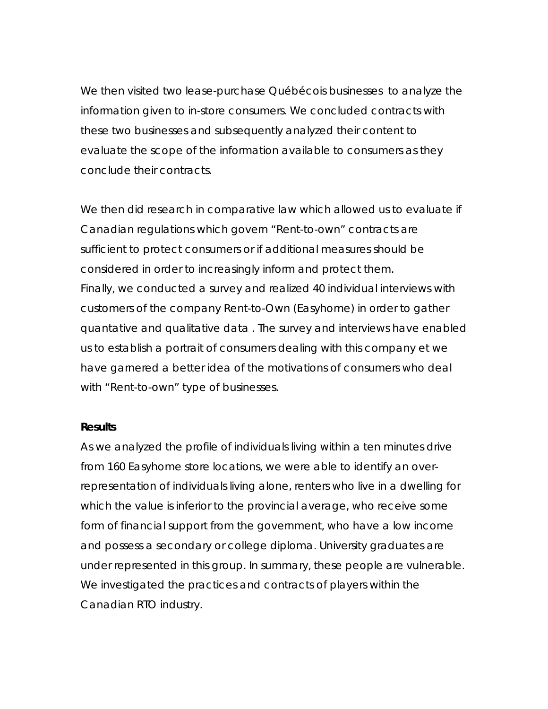We then visited two *lease-purchase* Québécois businesses to analyze the information given to in-store consumers. We concluded contracts with these two businesses and subsequently analyzed their content to evaluate the scope of the information available to consumers as they conclude their contracts.

We then did research in comparative law which allowed us to evaluate if Canadian regulations which govern "Rent-to-own" contracts are sufficient to protect consumers or if additional measures should be considered in order to increasingly inform and protect them. Finally, we conducted a survey and realized 40 individual interviews with customers of the company *Rent-to-Own* (Easyhome) in order to gather quantative and qualitative data . The survey and interviews have enabled us to establish a portrait of consumers dealing with this company et we have garnered a better idea of the motivations of consumers who deal with "Rent-to-own" type of businesses.

#### **Results**

As we analyzed the profile of individuals living within a ten minutes drive from 160 *Easyhome* store locations, we were able to identify an overrepresentation of individuals living alone, renters who live in a dwelling for which the value is inferior to the provincial average, who receive some form of financial support from the government, who have a low income and possess a secondary or college diploma. University graduates are under represented in this group. In summary, these people are vulnerable. We investigated the practices and contracts of players within the Canadian RTO industry.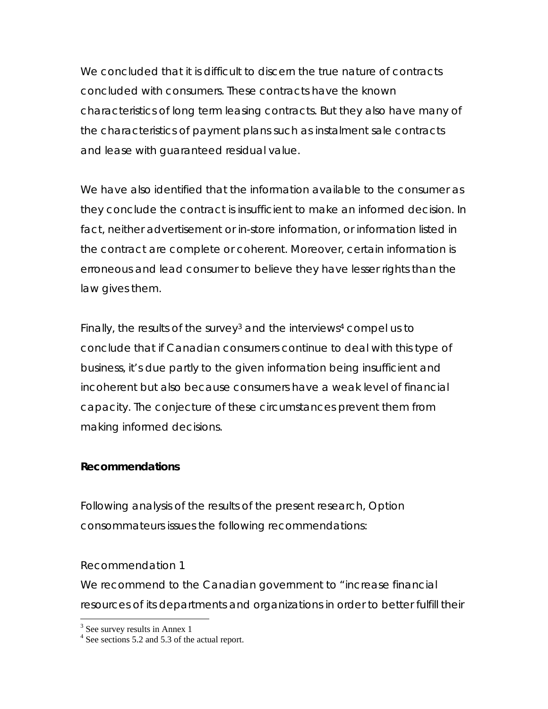We concluded that it is difficult to discern the true nature of contracts concluded with consumers. These contracts have the known characteristics of long term leasing contracts. But they also have many of the characteristics of payment plans such as instalment sale contracts and lease with guaranteed residual value.

We have also identified that the information available to the consumer as they conclude the contract is insufficient to make an informed decision. In fact, neither advertisement or in-store information, or information listed in the contract are complete or coherent. Moreover, certain information is erroneous and lead consumer to believe they have lesser rights than the law gives them.

Finally, the results of the survey<sup>3</sup> and the interviews<sup>4</sup> compel us to conclude that if Canadian consumers continue to deal with this type of business, it's due partly to the given information being insufficient and incoherent but also because consumers have a weak level of financial capacity. The conjecture of these circumstances prevent them from making informed decisions.

### **Recommendations**

Following analysis of the results of the present research, *Option consommateurs* issues the following recommendations:

Recommendation 1

We recommend to the Canadian government to "*increase financial*  resources of its departments and organizations in order to better fulfill their

 $\overline{a}$ 

<sup>&</sup>lt;sup>3</sup> See survey results in Annex 1

<sup>&</sup>lt;sup>4</sup> See sections 5.2 and 5.3 of the actual report.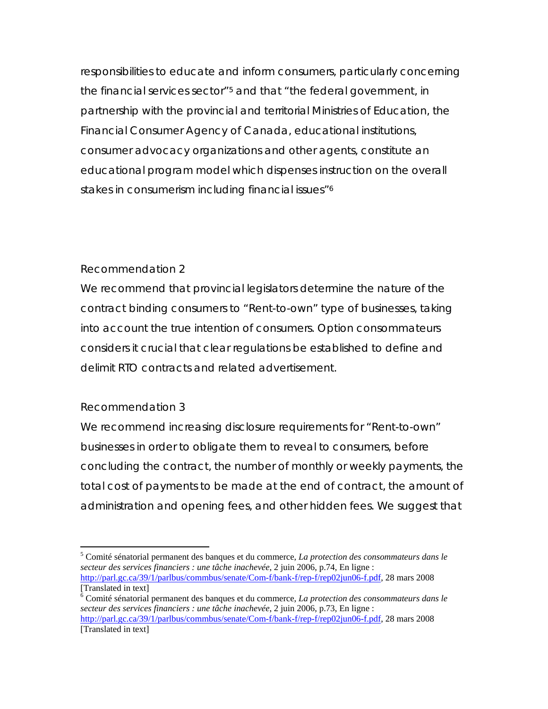responsibilities to educate and inform consumers, particularly concerning *the financial services sector*"5 and that "*the federal government, in partnership with the provincial and territorial Ministries of Education, the Financial Consumer Agency of Canada, educational institutions, consumer advocacy organizations and other agents, constitute an educational program model which dispenses instruction on the overall stakes in consumerism including financial issues*"6

## Recommendation 2

We recommend that provincial legislators determine the nature of the contract binding consumers to "Rent-to-own" type of businesses, taking into account the true intention of consumers. *Option consommateurs* considers it crucial that clear regulations be established to define and delimit RTO contracts and related advertisement.

# Recommendation 3

We recommend increasing disclosure requirements for "Rent-to-own" businesses in order to obligate them to reveal to consumers, before concluding the contract, the number of monthly or weekly payments, the total cost of payments to be made at the end of contract, the amount of administration and opening fees, and other hidden fees. We suggest that

<sup>1</sup> 5 Comité sénatorial permanent des banques et du commerce, *La protection des consommateurs dans le secteur des services financiers : une tâche inachevée*, 2 juin 2006, p.74, En ligne : http://parl.gc.ca/39/1/parlbus/commbus/senate/Com-f/bank-f/rep-f/rep02jun06-f.pdf, 28 mars 2008 [Translated in text]

<sup>6</sup> Comité sénatorial permanent des banques et du commerce, *La protection des consommateurs dans le secteur des services financiers : une tâche inachevée*, 2 juin 2006, p.73, En ligne : http://parl.gc.ca/39/1/parlbus/commbus/senate/Com-f/bank-f/rep-f/rep02jun06-f.pdf, 28 mars 2008 [Translated in text]